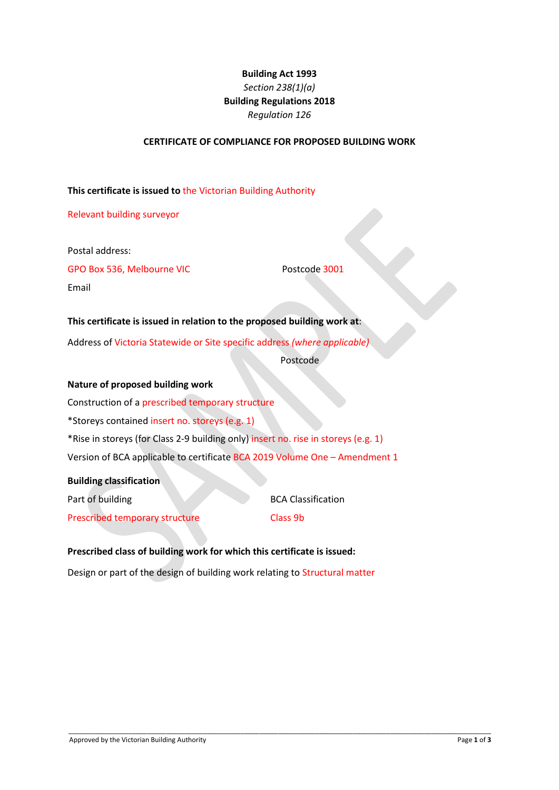# **Building Act 1993** *Section 238(1)(a)*  **Building Regulations 2018** *Regulation 126*

#### **CERTIFICATE OF COMPLIANCE FOR PROPOSED BUILDING WORK**

#### **This certificate is issued to** the Victorian Building Authority

Relevant building surveyor

Postal address:

GPO Box 536, Melbourne VIC Postcode 3001

Email

**This certificate is issued in relation to the proposed building work at**: Address of Victoria Statewide or Site specific address *(where applicable)*

Postcode

#### **Nature of proposed building work**

Construction of a prescribed temporary structure \*Storeys contained insert no. storeys (e.g. 1) \*Rise in storeys (for Class 2-9 building only) insert no. rise in storeys (e.g. 1) Version of BCA applicable to certificate BCA 2019 Volume One – Amendment 1

#### **Building classification**

| Part of building                      | <b>BCA Classification</b> |
|---------------------------------------|---------------------------|
| <b>Prescribed temporary structure</b> | Class 9b                  |

# **Prescribed class of building work for which this certificate is issued:**

Design or part of the design of building work relating to Structural matter

\_\_\_\_\_\_\_\_\_\_\_\_\_\_\_\_\_\_\_\_\_\_\_\_\_\_\_\_\_\_\_\_\_\_\_\_\_\_\_\_\_\_\_\_\_\_\_\_\_\_\_\_\_\_\_\_\_\_\_\_\_\_\_\_\_\_\_\_\_\_\_\_\_\_\_\_\_\_\_\_\_\_\_\_\_\_\_\_\_\_\_\_\_\_\_\_\_\_\_\_\_\_\_\_\_\_\_\_\_\_\_\_\_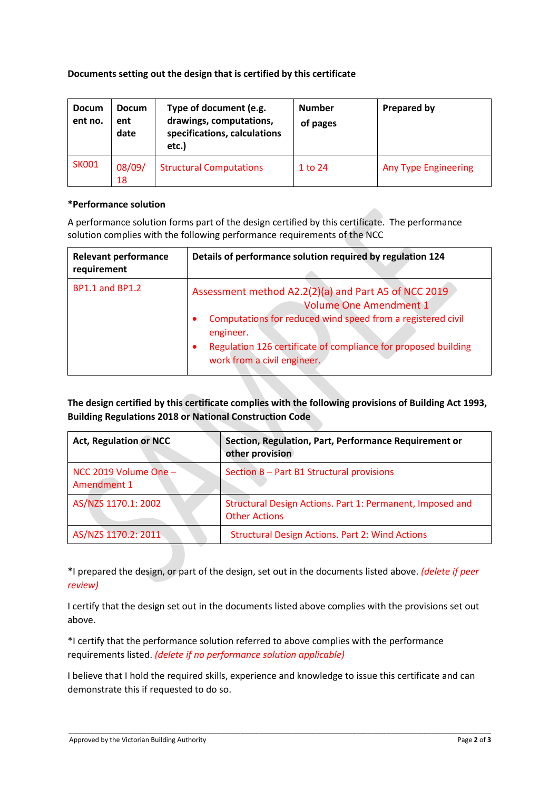## **Documents setting out the design that is certified by this certificate**

| <b>Docum</b><br>ent no. | <b>Docum</b><br>ent<br>date | Type of document (e.g.<br>drawings, computations,<br>specifications, calculations<br>etc.) | <b>Number</b><br>of pages | Prepared by                 |
|-------------------------|-----------------------------|--------------------------------------------------------------------------------------------|---------------------------|-----------------------------|
| <b>SK001</b>            | 08/09/<br>18                | <b>Structural Computations</b>                                                             | 1 to 24                   | <b>Any Type Engineering</b> |

## **\*Performance solution**

A performance solution forms part of the design certified by this certificate. The performance solution complies with the following performance requirements of the NCC

| <b>Relevant performance</b><br>requirement | Details of performance solution required by regulation 124                                                                                                                                                                                                                      |
|--------------------------------------------|---------------------------------------------------------------------------------------------------------------------------------------------------------------------------------------------------------------------------------------------------------------------------------|
| <b>BP1.1 and BP1.2</b>                     | Assessment method A2.2(2)(a) and Part A5 of NCC 2019<br><b>Volume One Amendment 1</b><br>Computations for reduced wind speed from a registered civil<br>engineer.<br>Regulation 126 certificate of compliance for proposed building<br>$\bullet$<br>work from a civil engineer. |

**The design certified by this certificate complies with the following provisions of Building Act 1993, Building Regulations 2018 or National Construction Code**

| <b>Act, Regulation or NCC</b>        | Section, Regulation, Part, Performance Requirement or<br>other provision          |
|--------------------------------------|-----------------------------------------------------------------------------------|
| NCC 2019 Volume One -<br>Amendment 1 | Section B - Part B1 Structural provisions                                         |
| AS/NZS 1170.1: 2002                  | Structural Design Actions. Part 1: Permanent, Imposed and<br><b>Other Actions</b> |
| AS/NZS 1170.2: 2011                  | <b>Structural Design Actions. Part 2: Wind Actions</b>                            |

\*I prepared the design, or part of the design, set out in the documents listed above. *(delete if peer review)*

I certify that the design set out in the documents listed above complies with the provisions set out above.

\*I certify that the performance solution referred to above complies with the performance requirements listed. *(delete if no performance solution applicable)*

I believe that I hold the required skills, experience and knowledge to issue this certificate and can demonstrate this if requested to do so.

\_\_\_\_\_\_\_\_\_\_\_\_\_\_\_\_\_\_\_\_\_\_\_\_\_\_\_\_\_\_\_\_\_\_\_\_\_\_\_\_\_\_\_\_\_\_\_\_\_\_\_\_\_\_\_\_\_\_\_\_\_\_\_\_\_\_\_\_\_\_\_\_\_\_\_\_\_\_\_\_\_\_\_\_\_\_\_\_\_\_\_\_\_\_\_\_\_\_\_\_\_\_\_\_\_\_\_\_\_\_\_\_\_